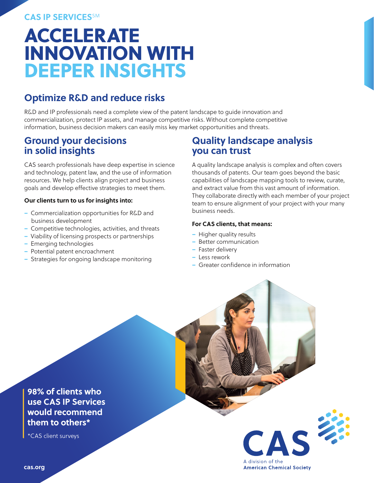### **CAS IP SERVICES**SM

# ACCELERATE INNOVATION WITH DEEPER INSIGHTS

# **Optimize R&D and reduce risks**

R&D and IP professionals need a complete view of the patent landscape to guide innovation and commercialization, protect IP assets, and manage competitive risks. Without complete competitive information, business decision makers can easily miss key market opportunities and threats.

# **Ground your decisions in solid insights**

CAS search professionals have deep expertise in science and technology, patent law, and the use of information resources. We help clients align project and business goals and develop effective strategies to meet them.

#### **Our clients turn to us for insights into:**

- Commercialization opportunities for R&D and business development
- Competitive technologies, activities, and threats
- Viability of licensing prospects or partnerships
- Emerging technologies
- Potential patent encroachment
- Strategies for ongoing landscape monitoring

## **Quality landscape analysis you can trust**

A quality landscape analysis is complex and often covers thousands of patents. Our team goes beyond the basic capabilities of landscape mapping tools to review, curate, and extract value from this vast amount of information. They collaborate directly with each member of your project team to ensure alignment of your project with your many business needs.

#### **For CAS clients, that means:**

- Higher quality results
- Better communication
- Faster delivery
- Less rework
- Greater confidence in information

**98% of clients who use CAS IP Services would recommend them to others\***

\*CAS client surveys



**cas.org**